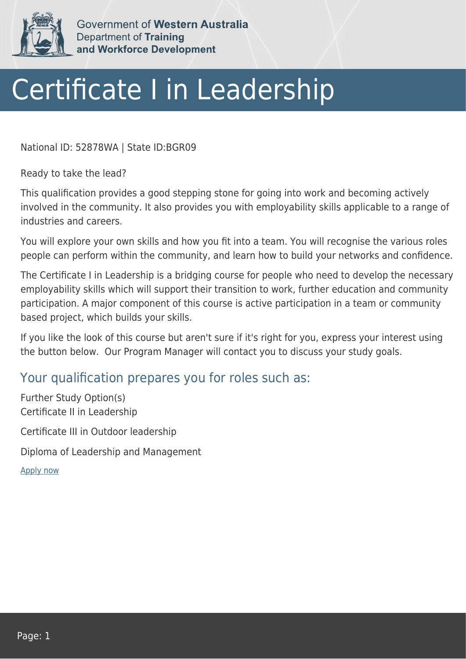

Government of Western Australia Department of Training and Workforce Development

## Certificate I in Leadership

National ID: 52878WA | State ID:BGR09

Ready to take the lead?

This qualification provides a good stepping stone for going into work and becoming actively involved in the community. It also provides you with employability skills applicable to a range of industries and careers.

You will explore your own skills and how you fit into a team. You will recognise the various roles people can perform within the community, and learn how to build your networks and confidence.

The Certificate I in Leadership is a bridging course for people who need to develop the necessary employability skills which will support their transition to work, further education and community participation. A major component of this course is active participation in a team or community based project, which builds your skills.

If you like the look of this course but aren't sure if it's right for you, express your interest using the button below. Our Program Manager will contact you to discuss your study goals.

## Your qualification prepares you for roles such as:

Further Study Option(s) Certificate II in Leadership

Certificate III in Outdoor leadership

Diploma of Leadership and Management

[Apply now](https://tasonline.tafe.wa.edu.au/Default.aspx)